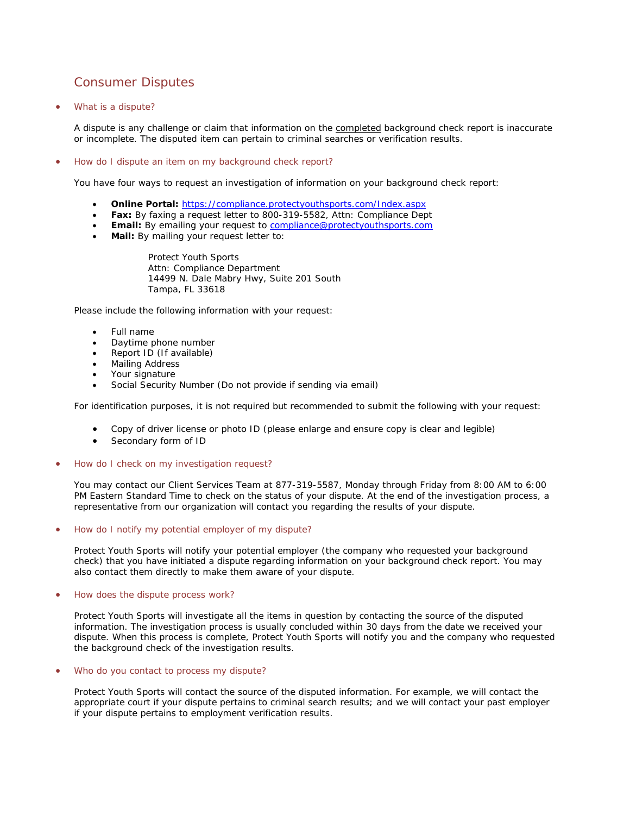## Consumer Disputes

• What is a dispute?

A dispute is any challenge or claim that information on the completed background check report is inaccurate or incomplete. The disputed item can pertain to criminal searches or verification results.

• How do I dispute an item on my background check report?

You have four ways to request an investigation of information on your background check report:

- **Online Portal:** <https://compliance.protectyouthsports.com/Index.aspx>
- **Fax:** By faxing a request letter to 800-319-5582, Attn: Compliance Dept
- **Email:** By emailing your request to [compliance@protectyouthsports.com](mailto:compliance@protectyouthsports.com)
- **Mail:** By mailing your request letter to:

Protect Youth Sports Attn: Compliance Department 14499 N. Dale Mabry Hwy, Suite 201 South Tampa, FL 33618

Please include the following information with your request:

- Full name
- Daytime phone number
- Report ID (If available)
- Mailing Address
- Your signature
- Social Security Number (Do not provide if sending via email)

For identification purposes, it is not required but recommended to submit the following with your request:

- Copy of driver license or photo ID (please enlarge and ensure copy is clear and legible)
- Secondary form of ID
- How do I check on my investigation request?

You may contact our Client Services Team at 877-319-5587, Monday through Friday from 8:00 AM to 6:00 PM Eastern Standard Time to check on the status of your dispute. At the end of the investigation process, a representative from our organization will contact you regarding the results of your dispute.

• How do I notify my potential employer of my dispute?

Protect Youth Sports will notify your potential employer (the company who requested your background check) that you have initiated a dispute regarding information on your background check report. You may also contact them directly to make them aware of your dispute.

• How does the dispute process work?

Protect Youth Sports will investigate all the items in question by contacting the source of the disputed information. The investigation process is usually concluded within 30 days from the date we received your dispute. When this process is complete, Protect Youth Sports will notify you and the company who requested the background check of the investigation results.

## • Who do you contact to process my dispute?

Protect Youth Sports will contact the source of the disputed information. For example, we will contact the appropriate court if your dispute pertains to criminal search results; and we will contact your past employer if your dispute pertains to employment verification results.